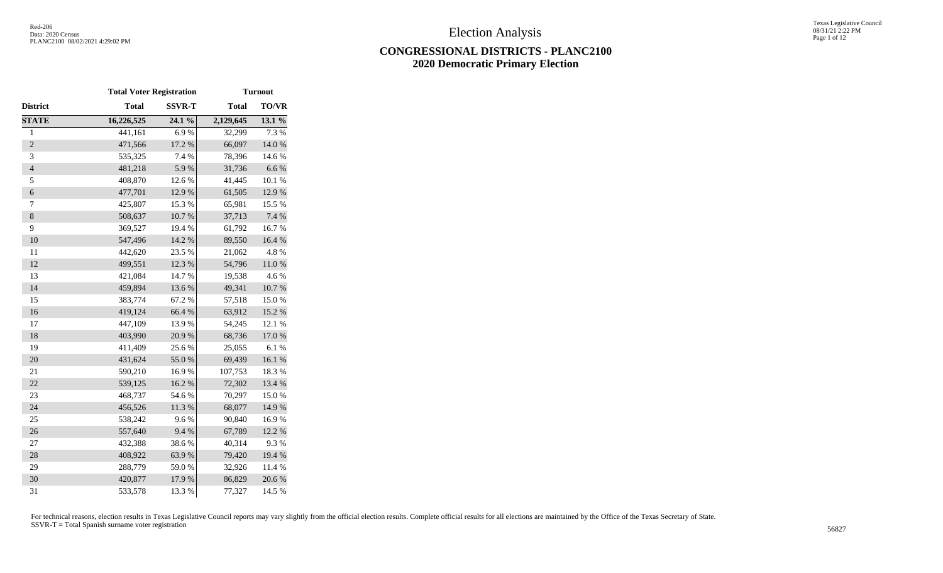## **CONGRESSIONAL DISTRICTS - PLANC2100 2020 Democratic Primary Election**

|                | <b>Total Voter Registration</b> |               |              | <b>Turnout</b> |
|----------------|---------------------------------|---------------|--------------|----------------|
| District       | <b>Total</b>                    | <b>SSVR-T</b> | <b>Total</b> | <b>TO/VR</b>   |
| <b>STATE</b>   | 16,226,525                      | 24.1 %        | 2,129,645    | 13.1 %         |
| $\mathbf{1}$   | 441,161                         | 6.9%          | 32,299       | 7.3 %          |
| $\overline{2}$ | 471,566                         | 17.2 %        | 66,097       | 14.0%          |
| 3              | 535,325                         | 7.4 %         | 78,396       | 14.6 %         |
| $\overline{4}$ | 481,218                         | 5.9%          | 31,736       | $6.6\ \%$      |
| 5              | 408,870                         | 12.6 %        | 41,445       | 10.1 %         |
| $\epsilon$     | 477,701                         | 12.9 %        | 61,505       | 12.9%          |
| $\tau$         | 425,807                         | 15.3 %        | 65,981       | 15.5 %         |
| $\,8\,$        | 508,637                         | $10.7~\%$     | 37,713       | 7.4 %          |
| 9              | 369,527                         | 19.4 %        | 61,792       | 16.7%          |
| 10             | 547,496                         | 14.2 %        | 89,550       | 16.4%          |
| 11             | 442,620                         | 23.5 %        | 21,062       | 4.8%           |
| 12             | 499,551                         | 12.3 %        | 54,796       | $11.0\ \%$     |
| 13             | 421,084                         | 14.7%         | 19,538       | 4.6%           |
| 14             | 459,894                         | 13.6 %        | 49,341       | 10.7 %         |
| 15             | 383,774                         | 67.2%         | 57,518       | 15.0%          |
| 16             | 419,124                         | 66.4 %        | 63,912       | 15.2 %         |
| 17             | 447,109                         | 13.9%         | 54,245       | 12.1 %         |
| 18             | 403,990                         | 20.9%         | 68,736       | 17.0 %         |
| 19             | 411,409                         | 25.6%         | 25,055       | 6.1%           |
| 20             | 431,624                         | 55.0%         | 69,439       | 16.1 %         |
| 21             | 590,210                         | 16.9%         | 107,753      | 18.3%          |
| 22             | 539,125                         | 16.2 %        | 72,302       | 13.4 %         |
| 23             | 468,737                         | 54.6 %        | 70,297       | 15.0%          |
| 24             | 456,526                         | 11.3 %        | 68,077       | 14.9%          |
| 25             | 538,242                         | 9.6%          | 90,840       | 16.9%          |
| 26             | 557,640                         | 9.4%          | 67,789       | 12.2 %         |
| 27             | 432,388                         | 38.6%         | 40,314       | 9.3%           |
| 28             | 408,922                         | 63.9%         | 79,420       | 19.4 %         |
| 29             | 288,779                         | 59.0%         | 32,926       | 11.4 %         |
| 30             | 420,877                         | 17.9 %        | 86,829       | 20.6%          |
| 31             | 533,578                         | 13.3 %        | 77,327       | 14.5 %         |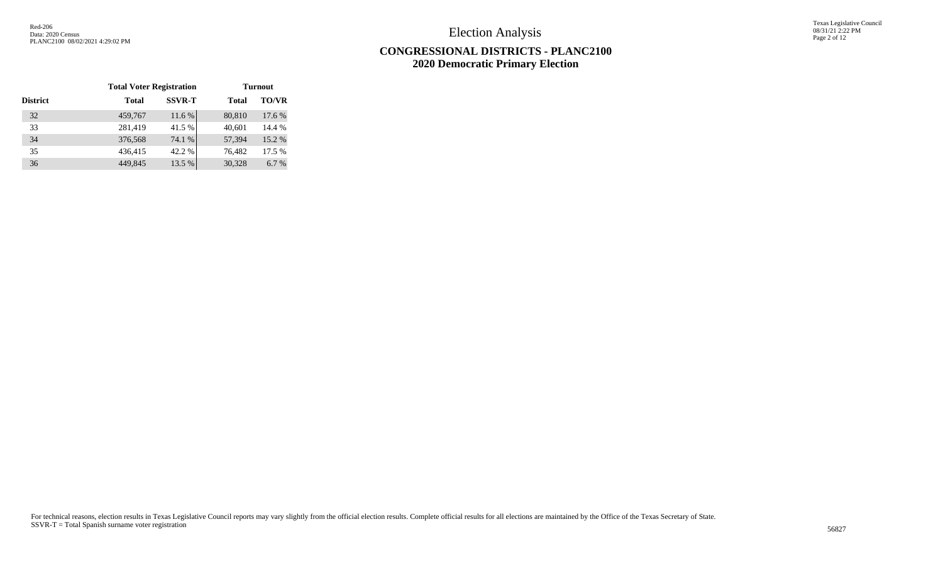Texas Legislative Council 08/31/21 2:22 PM Page 2 of 12

|                 | <b>Total Voter Registration</b> |               |              | <b>Turnout</b> |
|-----------------|---------------------------------|---------------|--------------|----------------|
| <b>District</b> | <b>Total</b>                    | <b>SSVR-T</b> | <b>Total</b> | <b>TO/VR</b>   |
| 32              | 459,767                         | 11.6 %        | 80,810       | 17.6 %         |
| 33              | 281,419                         | 41.5 %        | 40,601       | 14.4 %         |
| 34              | 376,568                         | 74.1 %        | 57,394       | 15.2 %         |
| 35              | 436,415                         | 42.2 %        | 76,482       | 17.5 %         |
| 36              | 449,845                         | 13.5 %        | 30,328       | 6.7 %          |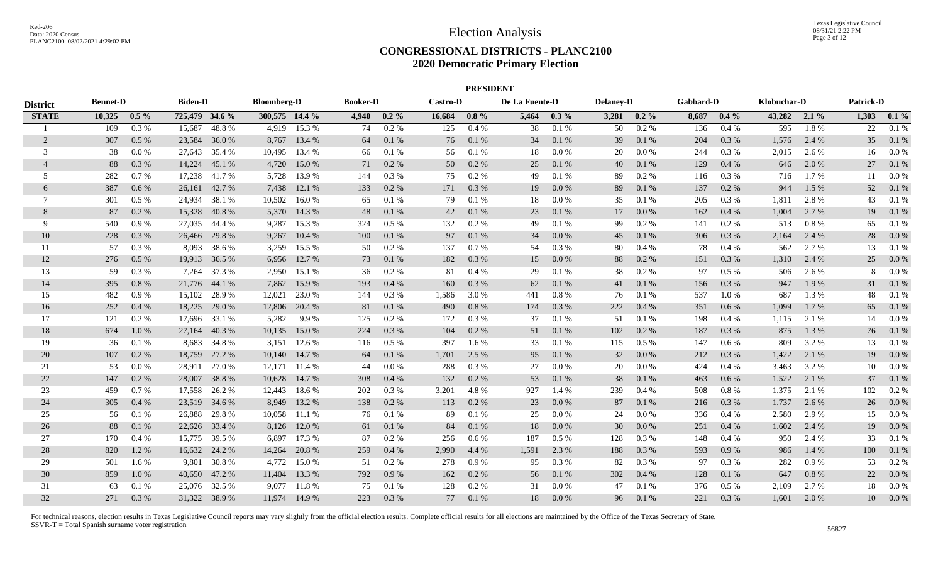#### **CONGRESSIONAL DISTRICTS - PLANC2100 2020 Democratic Primary Election**

|                 |                 |           |                |               |                    |               |                 |         |                 | <b>PRESIDENT</b> |                |           |                  |           |           |           |             |         |           |         |
|-----------------|-----------------|-----------|----------------|---------------|--------------------|---------------|-----------------|---------|-----------------|------------------|----------------|-----------|------------------|-----------|-----------|-----------|-------------|---------|-----------|---------|
| <b>District</b> | <b>Bennet-D</b> |           | <b>Biden-D</b> |               | <b>Bloomberg-D</b> |               | <b>Booker-D</b> |         | <b>Castro-D</b> |                  | De La Fuente-D |           | <b>Delaney-D</b> |           | Gabbard-D |           | Klobuchar-D |         | Patrick-D |         |
| <b>STATE</b>    | 10,325          | $0.5\%$   | 725,479 34.6 % |               | 300,575 14.4 %     |               | 4,940           | $0.2\%$ | 16,684          | $0.8\%$          | 5,464          | $0.3\%$   | 3,281            | $0.2\%$   | 8,687     | $0.4\%$   | 43,282      | $2.1\%$ | 1,303     | $0.1\%$ |
|                 | 109             | 0.3%      | 15,687         | 48.8%         | 4,919              | 15.3 %        | 74              | $0.2\%$ | 125             | 0.4%             | 38             | 0.1%      | 50               | $0.2\%$   | 136       | 0.4%      | 595         | 1.8%    | 22        | 0.1%    |
| 2               | 307             | $0.5\%$   | 23,584         | 36.0%         | 8,767              | 13.4 %        | 64              | 0.1%    | 76              | 0.1%             | 34             | $0.1\ \%$ | 39               | 0.1 %     | 204       | 0.3 %     | 1,576       | 2.4 %   | 35        | 0.1%    |
| 3               | 38              | 0.0 %     |                | 27,643 35.4 % | 10,495             | 13.4 %        | 66              | 0.1%    | 56              | 0.1%             | 18             | $0.0\ \%$ | 20               | $0.0\ \%$ | 244       | 0.3%      | 2,015       | 2.6 %   | 16        | 0.0 %   |
| $\overline{4}$  | 88              | 0.3%      | 14,224         | 45.1 %        | 4,720              | 15.0 %        | 71              | 0.2 %   | 50              | 0.2 %            | 25             | 0.1 %     | 40               | 0.1%      | 129       | 0.4%      | 646         | 2.0 %   | 27        | 0.1%    |
| .5              | 282             | 0.7%      | 17,238         | 41.7%         | 5,728              | 13.9 %        | 144             | 0.3%    | 75              | $0.2\%$          | 49             | 0.1%      | 89               | 0.2 %     | 116       | 0.3%      | 716         | 1.7 %   | 11        | 0.0 %   |
| 6               | 387             | 0.6 %     | 26,161         | 42.7 %        | 7,438              | 12.1 %        | 133             | 0.2 %   | 171             | 0.3%             | 19             | $0.0\ \%$ | 89               | 0.1%      | 137       | 0.2 %     | 944         | 1.5 %   | 52        | 0.1%    |
| $\tau$          | 301             | $0.5\ \%$ | 24,934         | 38.1 %        | 10,502             | 16.0%         | 65              | 0.1%    | 79              | 0.1%             | 18             | $0.0\ \%$ | 35               | 0.1%      | 205       | 0.3 %     | 1,811       | 2.8%    | 43        | 0.1%    |
| 8               | 87              | $0.2\%$   | 15,328         | 40.8%         | 5,370              | 14.3 %        | 48              | 0.1%    | 42              | 0.1%             | 23             | $0.1\ \%$ | 17               | 0.0 %     | 162       | 0.4%      | 1,004       | 2.7 %   | 19        | 0.1%    |
| 9               | 540             | $0.9\ \%$ |                | 27,035 44.4 % | 9,287              | 15.3 %        | 324             | 0.5 %   | 132             | 0.2 %            | 49             | 0.1 %     | 99               | 0.2%      | 141       | 0.2 %     | 513         | 0.8%    | 65        | 0.1%    |
| 10              | 228             | 0.3%      |                | 26,466 29.8 % | 9,267              | 10.4 %        | 100             | 0.1%    | 97              | 0.1%             | 34             | $0.0\ \%$ | 45               | 0.1 %     | 306       | 0.3%      | 2,164       | 2.4 %   | 28        | 0.0 %   |
| 11              | 57              | 0.3 %     |                | 8,093 38.6 %  | 3,259              | 15.5 %        | 50              | 0.2 %   | 137             | 0.7%             | 54             | 0.3 %     | 80               | 0.4%      | 78        | 0.4%      | 562         | 2.7 %   | 13        | 0.1%    |
| 12              | 276             | 0.5%      |                | 19,913 36.5 % |                    | 6,956 12.7 %  | 73              | 0.1%    | 182             | 0.3 %            | 15             | 0.0 %     | 88               | 0.2 %     | 151       | 0.3 %     | 1,310       | 2.4 %   | 25        | 0.0 %   |
| 13              | 59              | 0.3 %     | 7,264          | 37.3 %        |                    | 2,950 15.1 %  | 36              | 0.2 %   | 81              | 0.4%             | 29             | 0.1 %     | 38               | 0.2 %     | 97        | $0.5\%$   | 506         | 2.6 %   |           | 0.0 %   |
| 14              | 395             | 0.8%      | 21,776         | 44.1 %        | 7,862              | 15.9%         | 193             | 0.4%    | 160             | 0.3 %            | 62             | 0.1 %     | 41               | 0.1 %     | 156       | 0.3 %     | 947         | 1.9%    | 31        | 0.1%    |
| 15              | 482             | 0.9 %     | 15,102         | 28.9%         | 12,021             | 23.0 %        | 144             | 0.3%    | 1,586           | 3.0 %            | 441            | $0.8\ \%$ | 76               | 0.1 %     | 537       | 1.0%      | 687         | 1.3%    | 48        | 0.1%    |
| 16              | 252             | 0.4%      | 18,225         | 29.0 %        | 12,806             | 20.4 %        | 81              | 0.1%    | 490             | 0.8%             | 174            | $0.3~\%$  | 222              | 0.4%      | 351       | 0.6 %     | 1,099       | 1.7%    | 65        | 0.1%    |
| 17              | 121             | $0.2\%$   | 17,696         | 33.1 %        | 5,282              | 9.9%          | 125             | 0.2 %   | 172             | 0.3%             | 37             | 0.1 %     | 51               | 0.1%      | 198       | 0.4%      | 1,115       | 2.1 %   | 14        | 0.0 %   |
| 18              | 674             | 1.0%      | 27,164         | 40.3%         | 10,135             | 15.0%         | 224             | 0.3 %   | 104             | 0.2 %            | 51             | $0.1\ \%$ | 102              | 0.2 %     | 187       | 0.3%      | 875         | 1.3%    | 76        | 0.1%    |
| 19              | 36              | 0.1%      | 8,683          | 34.8%         | 3,151              | 12.6 %        | 116             | 0.5%    | 397             | 1.6 %            | 33             | $0.1\ \%$ | 115              | 0.5 %     | 147       | $0.6\,\%$ | 809         | 3.2 %   | 13        | 0.1%    |
| 20              | 107             | $0.2~\%$  | 18,759         | 27.2 %        |                    | 10,140 14.7 % | 64              | 0.1%    | 1,701           | 2.5 %            | 95             | $0.1\ \%$ | 32               | $0.0\,\%$ | 212       | 0.3%      | 1,422       | 2.1 %   | 19        | 0.0 %   |
| 21              | 53              | 0.0 %     | 28,911         | 27.0%         | 12,171             | 11.4 %        | -44             | 0.0 %   | 288             | 0.3%             | 27             | $0.0\ \%$ | 20               | $0.0\ \%$ | 424       | 0.4%      | 3,463       | 3.2%    | 10        | 0.0 %   |
| 22              | 147             | 0.2 %     | 28,007         | 38.8%         | 10,628             | 14.7 %        | 308             | 0.4%    | 132             | 0.2 %            | 53             | $0.1\ \%$ | 38               | 0.1%      | 463       | 0.6 %     | 1,522       | 2.1 %   | 37        | 0.1%    |
| 23              | 459             | 0.7 %     | 17,558         | 26.2 %        | 12,443             | 18.6 %        | 202             | 0.3%    | 3,201           | 4.8%             | 927            | 1.4 %     | 239              | 0.4%      | 508       | $0.8 \%$  | 1,375       | 2.1 %   | 102       | 0.2 %   |
| 24              | 305             | 0.4%      | 23,519 34.6 %  |               | 8,949              | 13.2 %        | 138             | 0.2 %   | 113             | 0.2 %            | 23             | 0.0 %     | 87               | 0.1%      | 216       | 0.3 %     | 1,737       | 2.6 %   | 26        | $0.0\%$ |
| 25              | -56             | 0.1%      | 26,888         | 29.8%         | 10,058             | 11.1 %        | 76              | 0.1 %   | 89              | 0.1%             | 25             | 0.0 %     | 24               | 0.0 %     | 336       | 0.4%      | 2,580       | 2.9 %   | 15        | 0.0 %   |
| 26              | 88              | 0.1 %     |                | 22,626 33.4 % | 8,126              | 12.0 %        | 61              | 0.1%    | 84              | 0.1%             | 18             | $0.0\ \%$ | 30               | $0.0\,\%$ | 251       | 0.4%      | 1,602       | 2.4 %   | 19        | 0.0 %   |
| 27              | 170             | 0.4%      |                | 15,775 39.5 % | 6,897              | 17.3 %        | -87             | 0.2 %   | 256             | 0.6 %            | 187            | $0.5\%$   | 128              | 0.3 %     | 148       | 0.4%      | 950         | 2.4 %   | 33        | 0.1%    |
| 28              | 820             | 1.2%      |                | 16,632 24.2 % | 14,264             | 20.8 %        | 259             | 0.4%    | 2,990           | 4.4 %            | 1,591          | 2.3 %     | 188              | 0.3%      | 593       | 0.9%      | 986         | 1.4 %   | 100       | 0.1%    |
| 29              | 501             | 1.6 %     | 9.801          | 30.8 %        | 4,772              | 15.0 %        | 51              | $0.2\%$ | 278             | 0.9%             | 95             | 0.3%      | 82               | $0.3\%$   | 97        | 0.3%      | 282         | 0.9%    | 53        | 0.2 %   |
| 30              | 859             | 1.0%      | 40,650         | 47.2 %        | 11,404             | 13.3 %        | 792             | 0.9%    | 162             | $0.2\%$          | 56             | $0.1\ \%$ | 302              | 0.4%      | 128       | 0.1 %     | 647         | 0.8%    | 22        | 0.0 %   |
| 31              | 63              | 0.1%      | 25,076         | 32.5 %        | 9,077              | 11.8%         | 75              | 0.1%    | 128             | 0.2 %            | 31             | $0.0\%$   | 47               | 0.1%      | 376       | 0.5%      | 2,109       | 2.7%    | 18        | 0.0 %   |
| 32              | 271             | 0.3%      | 31,322 38.9 %  |               | 11,974             | 14.9 %        | 223             | 0.3%    | 77              | 0.1%             | 18             | 0.0 %     | 96               | 0.1%      | 221       | 0.3%      | 1,601       | 2.0 %   | 10        | 0.0 %   |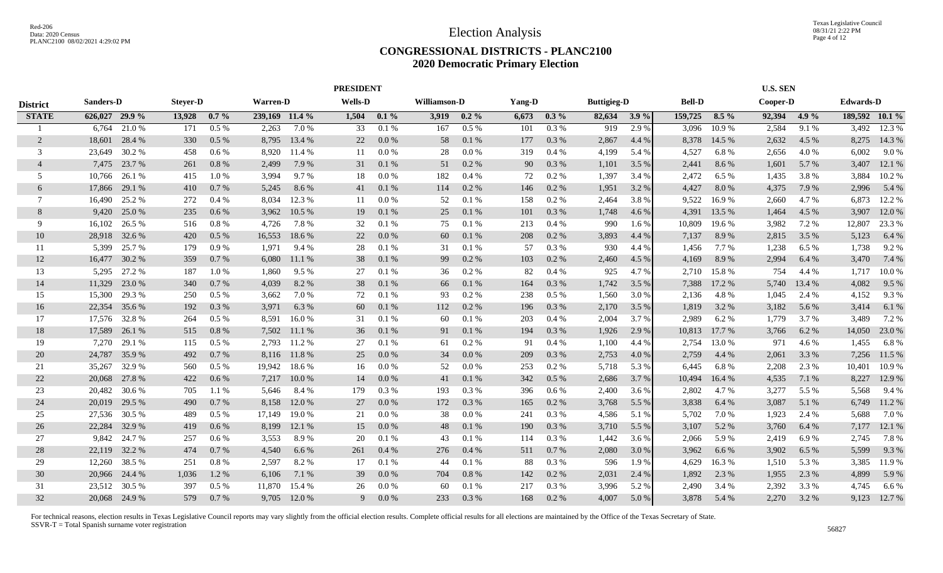#### **CONGRESSIONAL DISTRICTS - PLANC2100 2020 Democratic Primary Election**

|                 |                  |               |                 |         |                 |        | <b>PRESIDENT</b> |           |              |         |        |           |                    |         |               |         | <b>U.S. SEN</b> |         |                  |                |
|-----------------|------------------|---------------|-----------------|---------|-----------------|--------|------------------|-----------|--------------|---------|--------|-----------|--------------------|---------|---------------|---------|-----------------|---------|------------------|----------------|
| <b>District</b> | <b>Sanders-D</b> |               | <b>Steyer-D</b> |         | <b>Warren-D</b> |        | <b>Wells-D</b>   |           | Williamson-D |         | Yang-D |           | <b>Buttigieg-D</b> |         | <b>Bell-D</b> |         | Cooper-D        |         | <b>Edwards-D</b> |                |
| <b>STATE</b>    | 626,027 29.9 %   |               | 13,928          | $0.7\%$ | 239,169 11.4 %  |        | 1,504            | $0.1\%$   | 3,919        | $0.2\%$ | 6,673  | $0.3\%$   | 82,634             | $3.9\%$ | 159,725       | $8.5\%$ | 92,394          | $4.9\%$ |                  | 189,592 10.1 % |
|                 | 6,764            | 21.0%         | 171             | 0.5%    | 2,263           | 7.0 %  | 33               | 0.1%      | 167          | 0.5%    | 101    | 0.3 %     | 919                | 2.9%    | 3,096         | 10.9%   | 2,584           | 9.1%    | 3,492            | 12.3 %         |
| $\overline{2}$  | 18,601           | 28.4 %        | 330             | $0.5\%$ | 8,795           | 13.4 % | 22               | 0.0 %     | 58           | 0.1%    | 177    | 0.3%      | 2,867              | 4.4 %   | 8,378         | 14.5 %  | 2,632           | 4.5 %   | 8,275            | 14.3 %         |
| 3               | 23,649           | 30.2 %        | 458             | $0.6\%$ | 8,920           | 11.4 % | 11               | 0.0 %     | 28           | 0.0 %   | 319    | 0.4%      | 4,199              | 5.4 %   | 4,527         | 6.8%    | 2,656           | 4.0%    | 6,002            | 9.0%           |
| $\overline{4}$  | 7,475            | 23.7 %        | 261             | 0.8%    | 2,499           | 7.9 %  | 31               | $0.1\ \%$ | 51           | 0.2%    | 90     | 0.3 %     | 1,101              | 3.5 %   | 2,441         | 8.6%    | 1,601           | 5.7 %   | 3,407            | 12.1 %         |
| 5               | 10,766           | 26.1 %        | 415             | 1.0%    | 3,994           | 9.7%   | 18               | 0.0 %     | 182          | 0.4%    | 72     | 0.2%      | 1,397              | 3.4 %   | 2,472         | 6.5 %   | 1,435           | 3.8%    | 3,884            | 10.2 %         |
| 6               | 17,866           | 29.1 %        | 410             | 0.7%    | 5,245           | 8.6%   | 41               | 0.1%      | 114          | 0.2 %   | 146    | $0.2~\%$  | 1,951              | 3.2 %   | 4,427         | 8.0%    | 4,375           | 7.9%    | 2,996            | 5.4 %          |
| $\tau$          | 16.490           | 25.2 %        | 272             | 0.4%    | 8.034           | 12.3 % | 11               | 0.0 %     | 52           | 0.1%    | 158    | 0.2 %     | 2,464              | 3.8%    | 9,522         | 16.9%   | 2,660           | 4.7 %   | 6,873            | 12.2 %         |
| 8               | 9,420            | 25.0%         | 235             | 0.6%    | 3,962           | 10.5 % | 19               | 0.1%      | 25           | 0.1%    | 101    | 0.3%      | 1,748              | 4.6 %   | 4,391         | 13.5 %  | 1,464           | 4.5 %   | 3,907            | 12.0 %         |
| 9               | 16,102           | 26.5 %        | 516             | 0.8%    | 4,726           | 7.8%   | 32               | 0.1%      | 75           | 0.1%    | 213    | $0.4~\%$  | 990                | 1.6 %   | 10,809        | 19.6%   | 3,982           | 7.2 %   | 12,807           | 23.3 %         |
| 10              | 28,918           | 32.6 %        | 420             | 0.5%    | 16,553          | 18.6%  | 22               | 0.0 %     | 60           | 0.1%    | 208    | 0.2 %     | 3,893              | 4.4 %   | 7,137         | 8.9%    | 2,815           | 3.5 %   | 5,123            | 6.4 %          |
| 11              | 5,399            | 25.7 %        | 179             | 0.9%    | 1,971           | 9.4 %  | 28               | 0.1%      | 31           | 0.1%    | 57     | 0.3 %     | 930                | 4.4 %   | 1,456         | 7.7 %   | 1,238           | 6.5 %   | 1,738            | 9.2 %          |
| 12              | 16,477           | 30.2 %        | 359             | 0.7%    | 6,080           | 11.1 % | 38               | 0.1 %     | 99           | 0.2 %   | 103    | $0.2~\%$  | 2,460              | 4.5 %   | 4,169         | 8.9%    | 2,994           | 6.4 %   | 3,470            | 7.4 %          |
| 13              | 5,295            | 27.2 %        | 187             | 1.0%    | 1,860           | 9.5 %  | 27               | 0.1%      | 36           | 0.2 %   | 82     | 0.4%      | 925                | 4.7 %   | 2,710         | 15.8%   | 754             | 4.4 %   | 1,717            | 10.0%          |
| 14              | 11,329           | 23.0 %        | 340             | 0.7%    | 4,039           | 8.2 %  | 38               | 0.1 %     | 66           | 0.1%    | 164    | $0.3~\%$  | 1,742              | 3.5 %   | 7,388         | 17.2 %  | 5,740           | 13.4 %  | 4,082            | 9.5 %          |
| 15              | 15,300           | 29.3 %        | 250             | $0.5\%$ | 3,662           | 7.0%   | 72               | 0.1%      | 93           | 0.2 %   | 238    | $0.5\%$   | 1,560              | 3.0 %   | 2,136         | 4.8%    | 1,045           | 2.4 %   | 4,152            | 9.3%           |
| 16              | 22,354           | 35.6 %        | 192             | 0.3%    | 3,971           | 6.3 %  | 60               | 0.1%      | 112          | 0.2%    | 196    | 0.3%      | 2,170              | 3.5 %   | 1,819         | 3.2 %   | 3,182           | 5.6 %   | 3,414            | 6.1%           |
| 17              | 17.576           | 32.8%         | 264             | $0.5\%$ | 8.591           | 16.0%  | 31               | 0.1%      | 60           | 0.1%    | 203    | 0.4%      | 2,004              | 3.7 %   | 2,989         | 6.2%    | 1,779           | 3.7 %   | 3,489            | 7.2 %          |
| 18              | 17,589           | 26.1 %        | 515             | 0.8%    | 7,502           | 11.1%  | 36               | 0.1%      | 91           | 0.1%    | 194    | 0.3%      | 1,926              | 2.9 %   | 10,813        | 17.7 %  | 3,766           | 6.2 %   | 14,050           | 23.0%          |
| 19              | 7.270            | 29.1 %        | 115             | $0.5\%$ | 2.793           | 11.2 % | 27               | 0.1%      | 61           | 0.2%    | 91     | 0.4%      | 1,100              | 4.4 %   | 2,754         | 13.0%   | 971             | 4.6 %   | 1,455            | 6.8%           |
| 20              | 24,787           | 35.9%         | 492             | 0.7%    | 8,116           | 11.8%  | 25               | 0.0 %     | 34           | 0.0 %   | 209    | 0.3%      | 2,753              | 4.0%    | 2,759         | 4.4 %   | 2,061           | 3.3 %   | 7,256            | 11.5 %         |
| 21              | 35,267           | 32.9%         | 560             | 0.5 %   | 19,942          | 18.6%  | 16               | $0.0\ \%$ | 52           | 0.0 %   | 253    | $0.2~\%$  | 5,718              | 5.3 %   | 6,445         | 6.8%    | 2,208           | 2.3 %   | 10,401           | 10.9%          |
| 22              | 20,068           | 27.8 %        | 422             | 0.6 %   | 7,217           | 10.0 % | 14               | 0.0 %     | 41           | 0.1%    | 342    | 0.5%      | 2,686              | 3.7 %   | 10,494        | 16.4 %  | 4,535           | 7.1 %   | 8,227            | 12.9 %         |
| 23              | 20,482           | 30.6 %        | 705             | 1.1%    | 5,646           | 8.4 %  | 179              | 0.3%      | 193          | 0.3%    | 396    | 0.6 %     | 2,400              | 3.6 %   | 2,802         | 4.7%    | 3,277           | 5.5 %   | 5,568            | 9.4 %          |
| 24              | 20,019           | 29.5 %        | 490             | 0.7%    | 8,158           | 12.0 % | 27               | 0.0 %     | 172          | 0.3%    | 165    | 0.2 %     | 3,768              | 5.5 %   | 3,838         | 6.4 %   | 3,087           | 5.1 %   | 6,749            | 11.2 %         |
| 25              | 27,536           | 30.5 %        | 489             | $0.5\%$ | 17,149          | 19.0%  | 21               | 0.0 %     | 38           | 0.0 %   | 241    | 0.3 %     | 4,586              | 5.1 %   | 5,702         | 7.0 %   | 1,923           | 2.4 %   | 5,688            | 7.0%           |
| 26              | 22,284           | 32.9 %        | 419             | 0.6%    | 8,199           | 12.1 % | 15               | 0.0 %     | 48           | 0.1%    | 190    | 0.3%      | 3,710              | 5.5 %   | 3,107         | 5.2 %   | 3,760           | 6.4 %   | 7,177            | 12.1 %         |
| 27              | 9,842            | 24.7 %        | 257             | 0.6%    | 3,553           | 8.9%   | 20               | 0.1%      | 43           | 0.1%    | 114    | 0.3%      | 1,442              | 3.6 %   | 2,066         | 5.9%    | 2,419           | 6.9%    | 2,745            | 7.8%           |
| 28              | 22,119           | 32.2 %        | 474             | 0.7%    | 4,540           | 6.6 %  | 261              | 0.4%      | 276          | 0.4%    | 511    | $0.7\ \%$ | 2,080              | 3.0 %   | 3,962         | 6.6 %   | 3,902           | 6.5 %   | 5,599            | 9.3%           |
| 29              | 12,260           | 38.5 %        | 251             | 0.8 %   | 2,597           | 8.2%   | 17               | 0.1%      | 44           | 0.1%    | 88     | 0.3%      | 596                | 1.9%    | 4,629         | 16.3%   | 1,510           | 5.3 %   | 3,385            | 11.9 %         |
| 30              | 20,966           | 24.4 %        | 1,036           | 1.2%    | 6,106           | 7.1 %  | 39               | 0.0 %     | 704          | 0.8%    | 142    | $0.2~\%$  | 2,031              | 2.4 %   | 1,892         | 2.3 %   | 1,955           | 2.3 %   | 4,899            | 5.9%           |
| 31              | 23,512           | 30.5 %        | 397             | 0.5 %   | 11,870          | 15.4 % | 26               | 0.0 %     | 60           | 0.1%    | 217    | 0.3%      | 3,996              | 5.2 %   | 2,490         | 3.4 %   | 2,392           | 3.3 %   | 4,745            | 6.6 %          |
| 32              |                  | 20,068 24.9 % | 579             | 0.7%    | 9,705           | 12.0 % | 9                | 0.0 %     | 233          | 0.3%    | 168    | 0.2 %     | 4,007              | 5.0%    | 3,878         | 5.4 %   | 2,270           | 3.2 %   | 9,123            | 12.7 %         |
|                 |                  |               |                 |         |                 |        |                  |           |              |         |        |           |                    |         |               |         |                 |         |                  |                |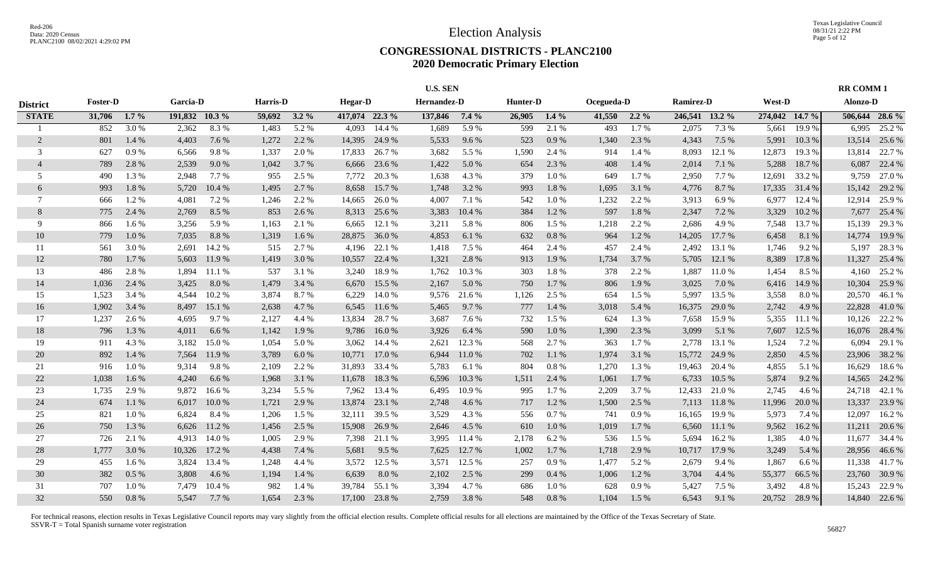#### **CONGRESSIONAL DISTRICTS - PLANC2100 2020 Democratic Primary Election**

|                 |                 |         |                 |        |          |         |                |               | <b>U.S. SEN</b>    |         |          |           |            |         |                |        |                |        | <b>RR COMM1</b> |                |
|-----------------|-----------------|---------|-----------------|--------|----------|---------|----------------|---------------|--------------------|---------|----------|-----------|------------|---------|----------------|--------|----------------|--------|-----------------|----------------|
| <b>District</b> | <b>Foster-D</b> |         | <b>Garcia-D</b> |        | Harris-D |         | <b>Hegar-D</b> |               | <b>Hernandez-D</b> |         | Hunter-D |           | Ocegueda-D |         | Ramirez-D      |        | <b>West-D</b>  |        | Alonzo-D        |                |
| <b>STATE</b>    | 31,706          | $1.7\%$ | 191,832 10.3 %  |        | 59,692   | $3.2\%$ | 417,074 22.3 % |               | 137,846            | $7.4\%$ | 26,905   | $1.4\%$   | 41,550     | $2.2\%$ | 246,541 13.2 % |        | 274,042 14.7 % |        |                 | 506,644 28.6 % |
|                 | 852             | 3.0%    | 2,362           | 8.3%   | 1.483    | 5.2 %   | 4.093          | 14.4 %        | 1,689              | 5.9%    | 599      | 2.1 %     | 493        | 1.7%    | 2,075          | 7.3 %  | 5,661          | 19.9%  | 6.995           | 25.2 %         |
| $\overline{2}$  | 801             | 1.4 %   | 4,403           | 7.6 %  | 1,272    | 2.2 %   | 14,395         | 24.9 %        | 5,533              | 9.6 %   | 523      | 0.9%      | 1,340      | 2.3 %   | 4,343          | 7.5 %  | 5,991          | 10.3%  | 13,514          | 25.6 %         |
| 3               | 627             | 0.9%    | 6,566           | 9.8%   | 1,337    | 2.0%    | 17,833         | 26.7 %        | 3,682              | 5.5 %   | 1,590    | 2.4 %     | 914        | 1.4 %   | 8,093          | 12.1 % | 12,873         | 19.3 % | 13,814          | 22.7 %         |
| $\overline{4}$  | 789             | 2.8%    | 2,539           | 9.0%   | 1,042    | 3.7 %   | 6,666          | 23.6 %        | 1,422              | 5.0 %   | 654      | 2.3 %     | 408        | 1.4 %   | 2,014          | 7.1 %  | 5,288          | 18.7%  | 6,087           | 22.4 %         |
| 5               | 490             | 1.3 %   | 2,948           | 7.7 %  | 955      | 2.5 %   | 7,772          | 20.3 %        | 1,638              | 4.3 %   | 379      | 1.0%      | 649        | 1.7 %   | 2,950          | 7.7%   | 12,691         | 33.2 % | 9,759           | 27.0 %         |
| 6               | 993             | 1.8%    | 5,720           | 10.4 % | 1,495    | 2.7 %   | 8,658          | 15.7 %        | 1,748              | 3.2 %   | 993      | 1.8 %     | 1,695      | 3.1 %   | 4,776          | 8.7%   | 17,335         | 31.4 % | 15,142          | 29.2 %         |
| 7               | 666             | 1.2%    | 4,081           | 7.2 %  | 1,246    | 2.2 %   | 14,665         | 26.0%         | 4.007              | 7.1 %   | 542      | 1.0%      | 1,232      | 2.2 %   | 3,913          | 6.9%   | 6,977          | 12.4 % | 12,914          | 25.9%          |
| 8               | 775             | 2.4 %   | 2,769           | 8.5 %  | 853      | 2.6 %   |                | 8,313 25.6 %  | 3,383              | 10.4 %  | 384      | 1.2%      | 597        | 1.8%    | 2,347          | 7.2 %  | 3,329          | 10.2 % | 7,677           | 25.4 %         |
| -9              | 866             | 1.6 %   | 3,256           | 5.9%   | 1,163    | 2.1 %   | 6,665          | 12.1 %        | 3,211              | 5.8 %   | 806      | 1.5 %     | 1,218      | 2.2 %   | 2,686          | 4.9 %  | 7,548          | 13.7 % | 15,139          | 29.3%          |
| 10              | 779             | 1.0%    | 7,035           | 8.8%   | 1,319    | 1.6%    | 28,875         | 36.0%         | 4,853              | 6.1 %   | 632      | $0.8\ \%$ | 964        | 1.2%    | 14,205         | 17.7 % | 6,458          | 8.1 %  | 14,774          | 19.9%          |
| 11              | 561             | 3.0%    | 2,691           | 14.2 % | 515      | 2.7%    | 4,196          | 22.1 %        | 1,418              | 7.5 %   | 464      | 2.4 %     | 457        | 2.4 %   | 2,492          | 13.1 % | 1,746          | 9.2 %  | 5,197           | 28.3%          |
| 12              | 780             | 1.7%    | 5,603           | 11.9%  | 1,419    | 3.0%    | 10,557         | 22.4 %        | 1,321              | 2.8%    | 913      | 1.9%      | 1,734      | 3.7 %   | 5.705          | 12.1 % | 8,389          | 17.8%  | 11,327          | 25.4 %         |
| 13              | 486             | 2.8%    | 1,894           | 11.1 % | 537      | 3.1 %   | 3,240          | 18.9%         | 1,762              | 10.3%   | 303      | 1.8%      | 378        | 2.2 %   | 1,887          | 11.0%  | 1,454          | 8.5 %  | 4,160           | 25.2 %         |
| 14              | 1,036           | 2.4 %   | 3,425           | 8.0%   | 1,479    | 3.4 %   | 6,670          | 15.5 %        | 2,167              | 5.0 %   | 750      | 1.7 %     | 806        | 1.9%    | 3,025          | 7.0 %  | 6,416          | 14.9 % | 10,304          | 25.9 %         |
| 15              | 1,523           | 3.4 %   | 4,544           | 10.2%  | 3,874    | 8.7%    | 6,229          | 14.0 %        | 9,576              | 21.6 %  | 1,126    | 2.5 %     | 654        | 1.5 %   | 5,997          | 13.5 % | 3,558          | 8.0%   | 20,570          | 46.1%          |
| 16              | 1,902           | 3.4 %   | 8,497           | 15.1 % | 2,638    | 4.7 %   | 6,545          | 11.6 %        | 5,465              | 9.7 %   | 777      | 1.4 %     | 3,018      | 5.4 %   | 16,375         | 29.0 % | 2,742          | 4.9%   | 22,828          | 41.0%          |
| 17              | 1,237           | 2.6 %   | 4,695           | 9.7 %  | 2,127    | 4.4 %   | 13,834         | 28.7 %        | 3,687              | 7.6 %   | 732      | 1.5 %     | 624        | 1.3 %   | 7,658          | 15.9%  | 5,355          | 11.1 % | 10.126          | 22.2 %         |
| 18              | 796             | 1.3 %   | 4,011           | 6.6 %  | 1,142    | 1.9%    | 9,786          | 16.0%         | 3,926              | 6.4 %   | 590      | 1.0%      | 1,390      | 2.3 %   | 3,099          | 5.1 %  | 7,607          | 12.5 % | 16,076          | 28.4 %         |
| 19              | 911             | 4.3 %   | 3,182           | 15.0%  | 1,054    | 5.0%    | 3,062          | 14.4 %        | 2,621              | 12.3 %  | 568      | 2.7 %     | 363        | 1.7 %   | 2,778          | 13.1 % | 1,524          | 7.2 %  | 6,094           | 29.1 %         |
| 20              | 892             | 1.4 %   | 7,564           | 11.9 % | 3,789    | 6.0%    | 10,771         | 17.0 %        | 6,944              | 11.0%   | 702      | 1.1%      | 1,974      | 3.1 %   | 15,772         | 24.9 % | 2,850          | 4.5 %  | 23,906          | 38.2 %         |
| 21              | 916             | 1.0%    | 9,314           | 9.8%   | 2,109    | 2.2 %   | 31,893         | 33.4 %        | 5,783              | 6.1%    | 804      | 0.8%      | 1,270      | 1.3 %   | 19,463         | 20.4 % | 4,855          | 5.1 %  | 16,629          | 18.6%          |
| 22              | 1,038           | 1.6 %   | 4,240           | 6.6 %  | 1,968    | 3.1 %   | 11,678         | 18.3%         | 6,596              | 10.3%   | 1,511    | 2.4 %     | 1,061      | 1.7%    | 6,733          | 10.5 % | 5,874          | 9.2%   | 14,565          | 24.2 %         |
| 23              | 1,735           | 2.9 %   | 9,872           | 16.6%  | 3,234    | 5.5 %   | 7,962          | 13.4 %        | 6,495              | 10.9%   | 995      | 1.7%      | 2,209      | 3.7%    | 12,433         | 21.0%  | 2,745          | 4.6 %  | 24,718          | 42.1 %         |
| 24              | 674             | 1.1 %   | 6,017           | 10.0 % | 1,721    | 2.9 %   | 13,874         | 23.1 %        | 2,748              | 4.6 %   | 717      | 1.2%      | 1,500      | 2.5 %   | 7,113          | 11.8%  | 11,996         | 20.0 % | 13,337          | 23.9%          |
| 25              | 821             | 1.0%    | 6,824           | 8.4 %  | 1,206    | 1.5 %   | 32,111         | 39.5 %        | 3,529              | 4.3 %   | 556      | $0.7~\%$  | 741        | 0.9%    | 16,165         | 19.9%  | 5,973          | 7.4 %  | 12,097          | 16.2%          |
| 26              | 750             | 1.3%    | 6,626           | 11.2 % | 1,456    | 2.5 %   | 15,908         | 26.9%         | 2,646              | 4.5 %   | 610      | 1.0%      | 1,019      | 1.7%    | 6,560          | 11.1 % | 9,562          | 16.2%  | 11,211          | 20.6 %         |
| 27              | 726             | 2.1 %   | 4,913           | 14.0 % | 1,005    | 2.9 %   | 7,398          | 21.1 %        | 3.995              | 11.4 %  | 2,178    | 6.2%      | 536        | 1.5 %   | 5,694          | 16.2%  | 1,385          | 4.0 %  | 11,677          | 34.4 %         |
| 28              | 1,777           | 3.0%    | 10,326          | 17.2 % | 4,438    | 7.4 %   | 5,681          | 9.5%          | 7,625              | 12.7 %  | 1,002    | 1.7%      | 1,718      | 2.9%    | 10,717         | 17.9 % | 3,249          | 5.4 %  | 28,956          | 46.6%          |
| 29              | 455             | 1.6 %   | 3,824           | 13.4 % | 1,248    | 4.4 %   | 3,572          | 12.5 %        | 3,571              | 12.5 %  | 257      | 0.9 %     | 1,477      | 5.2 %   | 2,679          | 9.4 %  | 1,867          | 6.6 %  | 11,338          | 41.7%          |
| 30              | 382             | 0.5%    | 3,808           | 4.6 %  | 1,194    | 1.4 %   | 6,639          | 8.0%          | 2,102              | 2.5 %   | 299      | 0.4%      | 1,006      | 1.2%    | 3,704          | 4.4 %  | 55,377         | 66.5 % | 23,760          | 30.9 %         |
| 31              | 707             | 1.0%    | 7,479           | 10.4 % | 982      | 1.4 %   | 39,784         | 55.1 %        | 3,394              | 4.7 %   | 686      | 1.0%      | 628        | 0.9%    | 5,427          | 7.5 %  | 3,492          | 4.8%   | 15,243          | 22.9 %         |
| 32              | 550             | 0.8%    | 5,547           | 7.7 %  | 1,654    | 2.3 %   |                | 17,100 23.8 % | 2,759              | 3.8%    | 548      | 0.8%      | 1,104      | 1.5 %   | 6,543          | 9.1 %  | 20,752         | 28.9%  |                 | 14,840 22.6 %  |
|                 |                 |         |                 |        |          |         |                |               |                    |         |          |           |            |         |                |        |                |        |                 |                |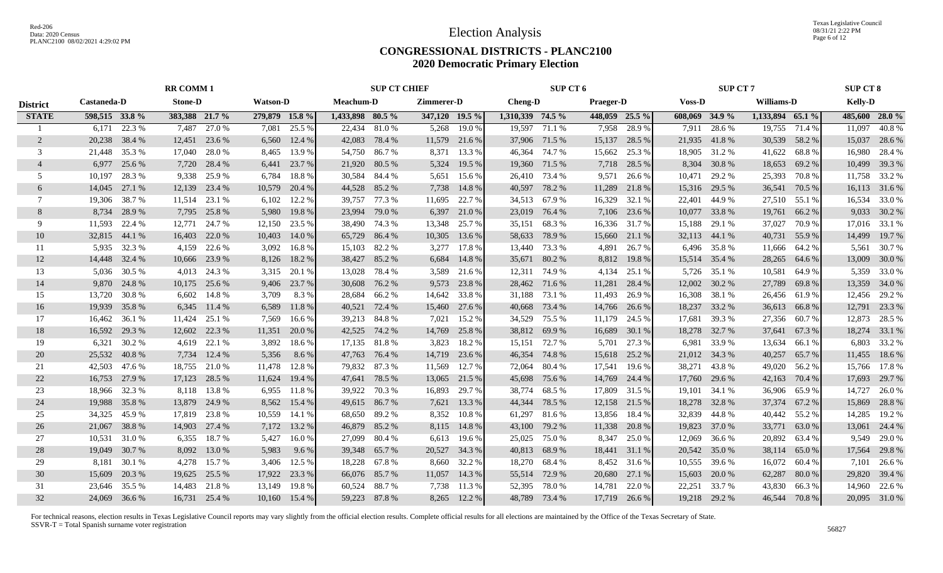Texas Legislative Council 08/31/21 2:22 PM Page 6 of 12

#### **CONGRESSIONAL DISTRICTS - PLANC2100 2020 Democratic Primary Election**

|                 |                |               | <b>RR COMM 1</b> |               |                 |               |                  | <b>SUP CT CHIEF</b> |                |               |                  | SUP CT 6      |                  |                |                | <b>SUP CT 7</b> |                   |               | <b>SUP CT 8</b> |                |
|-----------------|----------------|---------------|------------------|---------------|-----------------|---------------|------------------|---------------------|----------------|---------------|------------------|---------------|------------------|----------------|----------------|-----------------|-------------------|---------------|-----------------|----------------|
| <b>District</b> | Castaneda-D    |               | <b>Stone-D</b>   |               | <b>Watson-D</b> |               | <b>Meachum-D</b> |                     | Zimmerer-D     |               | Cheng-D          |               | <b>Praeger-D</b> |                | <b>Voss-D</b>  |                 | <b>Williams-D</b> |               | <b>Kelly-D</b>  |                |
| <b>STATE</b>    | 598,515 33.8 % |               | 383,388 21.7 %   |               | 279,879 15.8 %  |               | 1,433,898 80.5 % |                     | 347,120 19.5 % |               | 1,310,339 74.5 % |               |                  | 448,059 25.5 % | 608,069 34.9 % |                 | 1,133,894 65.1 %  |               |                 | 485,600 28.0 % |
|                 | 6.171          | 22.3 %        | 7,487            | 27.0 %        | 7,081           | 25.5 %        | 22,434           | 81.0 %              | 5,268          | 19.0%         |                  | 19,597 71.1 % | 7,958            | 28.9%          | 7,911          | 28.6%           | 19,755            | 71.4 %        | 11,097          | 40.8%          |
| $\overline{2}$  | 20,238         | 38.4 %        | 12,451           | 23.6 %        | 6,560           | 12.4 %        | 42,083           | 78.4 %              |                | 11,579 21.6 % |                  | 37,906 71.5 % | 15,137           | 28.5 %         |                | 21,935 41.8 %   | 30,539            | 58.2 %        | 15,037          | 28.6 %         |
| 3               | 21,448         | 35.3 %        | 17,040           | 28.0 %        | 8,465           | 13.9 %        | 54,750           | 86.7 %              | 8,371          | 13.3 %        | 46,364           | 74.7 %        | 15,662           | 25.3 %         | 18,905         | 31.2 %          | 41,622            | 68.8%         |                 | 16,980 28.4 %  |
| $\overline{4}$  | 6,977          | 25.6 %        | 7,720            | 28.4 %        | 6,441           | 23.7 %        | 21,920 80.5 %    |                     | 5,324          | 19.5 %        | 19,360           | 71.5 %        | 7,718            | 28.5 %         | 8,304          | 30.8%           | 18,653            | 69.2 %        | 10,499          | 39.3 %         |
| .5              | 10.197         | 28.3%         | 9,338            | 25.9%         | 6,784           | 18.8%         | 30,584           | 84.4 %              | 5,651          | 15.6 %        | 26,410           | 73.4 %        | 9,571            | 26.6 %         | 10,471         | 29.2 %          | 25,393            | 70.8%         |                 | 11,758 33.2 %  |
| 6               | 14,045         | 27.1 %        | 12,139           | 23.4 %        | 10,579          | 20.4 %        | 44,528           | 85.2 %              | 7,738          | 14.8 %        | 40,597           | 78.2 %        | 11,289           | 21.8%          | 15,316         | 29.5 %          | 36,541            | 70.5 %        |                 | 16,113 31.6 %  |
| 7               | 19,306         | 38.7%         | 11,514           | 23.1 %        | 6,102           | 12.2 %        | 39,757           | 77.3 %              | 11,695         | 22.7 %        | 34,513           | 67.9 %        | 16,329           | 32.1 %         | 22,401         | 44.9 %          | 27,510            | 55.1 %        | 16,534          | 33.0 %         |
| 8               | 8,734          | 28.9%         | 7,795            | 25.8%         | 5,980           | 19.8%         | 23,994           | 79.0 %              | 6,397          | 21.0 %        | 23,019           | 76.4 %        | 7,106            | 23.6 %         | 10,077         | 33.8%           | 19,761            | 66.2%         |                 | 9,033 30.2 %   |
| 9               | 11,593         | 22.4 %        | 12,771           | 24.7 %        | 12,150          | 23.5 %        | 38,490           | 74.3 %              | 13,348         | 25.7 %        | 35,151           | 68.3%         | 16,336           | 31.7 %         | 15,188         | 29.1 %          | 37,027            | 70.9%         |                 | 17,016 33.1 %  |
| 10              | 32,815         | 44.1 %        | 16,403           | 22.0 %        | 10,403          | 14.0 %        | 65,729           | 86.4%               | 10,305         | 13.6 %        | 58,633           | 78.9%         | 15,660           | 21.1 %         | 32,113         | 44.1 %          | 40,731            | 55.9%         | 14,499          | 19.7 %         |
| 11              |                | 5,935 32.3 %  | 4,159            | 22.6 %        | 3,092           | 16.8%         | 15,103           | 82.2 %              | 3,277          | 17.8 %        | 13,440           | 73.3 %        | 4,891            | 26.7 %         | 6,496          | 35.8%           | 11,666            | 64.2 %        | 5,561           | 30.7 %         |
| 12              |                | 14,448 32.4 % | 10,666           | 23.9 %        | 8,126           | 18.2 %        | 38,427           | 85.2 %              | 6,684          | 14.8%         | 35,671           | 80.2%         | 8,812            | 19.8 %         |                | 15,514 35.4 %   | 28,265            | 64.6 %        | 13,009          | 30.0 %         |
| 13              | 5.036          | 30.5 %        | 4,013            | 24.3 %        |                 | 3,315 20.1 %  | 13,028           | 78.4 %              | 3,589          | 21.6 %        | 12,311           | 74.9%         | 4,134            | 25.1 %         | 5,726          | 35.1 %          | 10,581            | 64.9%         |                 | 5,359 33.0 %   |
| 14              |                | 9,870 24.8%   | 10,175           | 25.6 %        | 9,406           | 23.7 %        | 30,608           | 76.2 %              | 9,573          | 23.8 %        | 28,462 71.6 %    |               | 11,281           | 28.4 %         | 12,002         | 30.2 %          | 27,789            | 69.8%         |                 | 13,359 34.0 %  |
| 15              | 13,720         | 30.8%         | 6,602            | 14.8%         | 3,709           | 8.3%          | 28,684           | 66.2 %              |                | 14,642 33.8 % |                  | 31,188 73.1 % | 11,493           | 26.9%          | 16,308         | 38.1 %          | 26,456            | 61.9%         |                 | 12,456 29.2 %  |
| 16              | 19,939         | 35.8%         | 6,345            | 11.4 %        | 6,589           | 11.8%         | 40,521           | 72.4 %              |                | 15,460 27.6 % | 40,668           | 73.4 %        | 14,766           | 26.6 %         | 18,237         | 33.2 %          | 36,613            | 66.8%         |                 | 12,791 23.3 %  |
| 17              | 16,462         | 36.1 %        | 11,424           | 25.1 %        | 7,569           | 16.6 %        | 39,213 84.8 %    |                     | 7,021          | 15.2 %        | 34,529           | 75.5 %        | 11,179           | 24.5 %         | 17,681         | 39.3 %          | 27,356            | 60.7 %        |                 | 12,873 28.5 %  |
| 18              | 16,592         | 29.3 %        | 12,602           | 22.3 %        | 11,351          | 20.0 %        | 42,525           | 74.2 %              | 14,769         | 25.8%         | 38,812           | 69.9%         | 16,689           | 30.1 %         | 18,278         | 32.7 %          | 37,641            | 67.3 %        |                 | 18,274 33.1 %  |
| 19              | 6,321          | 30.2 %        | 4,619            | 22.1 %        | 3,892           | 18.6%         | 17,135           | 81.8 %              | 3,823          | 18.2 %        | 15,151           | 72.7 %        | 5,701            | 27.3 %         | 6,981          | 33.9%           | 13,634            | 66.1%         | 6,803           | 33.2 %         |
| 20              | 25,532         | 40.8%         | 7,734            | 12.4 %        | 5,356           | 8.6 %         | 47,763           | 76.4 %              | 14,719         | 23.6 %        | 46,354           | 74.8%         | 15,618           | 25.2 %         | 21,012         | 34.3 %          | 40,257            | 65.7%         | 11,455          | 18.6 %         |
| 21              | 42,503         | 47.6 %        | 18,755           | 21.0 %        | 11,478          | 12.8%         | 79,832           | 87.3%               | 11,569         | 12.7 %        | 72,064           | 80.4%         | 17,541           | 19.6 %         | 38,271         | 43.8%           | 49,020            | 56.2 %        |                 | 15,766 17.8 %  |
| 22              | 16,753         | 27.9 %        | 17,123           | 28.5 %        | 11,624          | 19.4 %        | 47,641           | 78.5 %              | 13,065         | 21.5 %        | 45,698           | 75.6 %        | 14,769           | 24.4 %         | 17,760         | 29.6 %          | 42,163            | 70.4 %        |                 | 17,693 29.7 %  |
| 23              | 18,966         | 32.3 %        | 8,118            | 13.8%         | 6,955           | 11.8%         | 39,922           | 70.3 %              | 16,893         | 29.7 %        | 38,774           | 68.5 %        | 17,809           | 31.5 %         | 19,101         | 34.1 %          | 36,906            | 65.9%         | 14,727          | 26.0%          |
| 24              | 19,988         | 35.8%         | 13,879           | 24.9 %        | 8,562           | 15.4 %        | 49,615           | 86.7%               | 7,621          | 13.3 %        | 44,344           | 78.5 %        | 12,158           | 21.5 %         | 18,278         | 32.8%           | 37,374            | 67.2 %        | 15,869          | 28.8 %         |
| 25              | 34,325         | 45.9 %        | 17,819           | 23.8%         | 10,559          | 14.1 %        | 68,650           | 89.2 %              | 8,352          | 10.8 %        | 61,297           | 81.6 %        | 13,856           | 18.4 %         | 32,839         | 44.8%           | 40,442            | 55.2 %        | 14,285          | 19.2 %         |
| 26              | 21,067         | 38.8%         | 14,903           | 27.4 %        | 7,172           | 13.2 %        | 46,879           | 85.2%               | 8,115          | 14.8 %        | 43,100           | 79.2 %        | 11,338           | 20.8 %         | 19,823         | 37.0 %          | 33,771            | 63.0%         | 13,061          | 24.4 %         |
| 27              | 10,531         | 31.0 %        | 6,355            | 18.7%         | 5,427           | 16.0%         | 27,099           | 80.4%               | 6,613          | 19.6 %        | 25,025           | 75.0%         | 8,347            | 25.0 %         | 12,069         | 36.6 %          | 20,892            | 63.4 %        | 9,549           | 29.0 %         |
| 28              | 19,049         | 30.7 %        | 8,092            | 13.0 %        | 5,983           | 9.6 %         | 39,348           | 65.7 %              | 20,527         | 34.3 %        | 40,813           | 68.9%         | 18,441           | 31.1 %         | 20,542         | 35.0 %          | 38,114            | 65.0%         | 17,564          | 29.8%          |
| 29              | 8,181          | 30.1 %        | 4,278            | 15.7 %        | 3,406           | 12.5 %        | 18,228           | 67.8 %              | 8,660          | 32.2 %        | 18,270           | 68.4 %        | 8,452            | 31.6 %         | 10,555         | 39.6 %          | 16,072            | 60.4 %        |                 | 7,101 26.6 %   |
| 30              | 15,609         | 20.3 %        | 19,625           | 25.5 %        | 17,922          | 23.3 %        | 66,076 85.7 %    |                     | 11,057         | 14.3 %        | 55,514           | 72.9 %        | 20,680           | 27.1 %         | 15,603         | 20.0 %          | 62,287            | 80.0%         |                 | 29,820 39.4 %  |
| 31              | 23,646         | 35.5 %        | 14,483           | 21.8%         | 13,149          | 19.8%         | 60,524           | 88.7%               | 7,738          | 11.3 %        | 52,395           | 78.0 %        | 14,781           | 22.0 %         | 22,251         | 33.7 %          | 43,830            | 66.3%         | 14,960          | 22.6 %         |
| 32              | 24,069 36.6 %  |               |                  | 16,731 25.4 % |                 | 10,160 15.4 % | 59,223 87.8 %    |                     | 8,265          | 12.2 %        |                  | 48,789 73.4 % |                  | 17,719 26.6 %  |                | 19,218 29.2 %   |                   | 46,544 70.8 % |                 | 20,095 31.0 %  |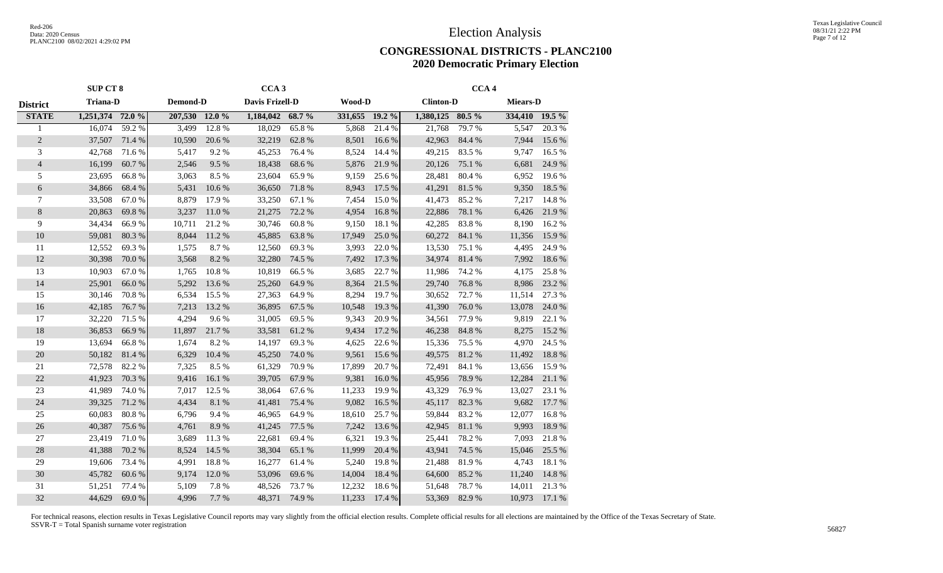#### **CONGRESSIONAL DISTRICTS - PLANC2100 2020 Democratic Primary Election**

|                 | <b>SUP CT 8</b>  |        |                |        | CCA <sub>3</sub> |        |                |        |                  | CCA <sub>4</sub> |                 |                  |
|-----------------|------------------|--------|----------------|--------|------------------|--------|----------------|--------|------------------|------------------|-----------------|------------------|
| <b>District</b> | <b>Triana-D</b>  |        | Demond-D       |        | Davis Frizell-D  |        | Wood-D         |        | <b>Clinton-D</b> |                  | <b>Miears-D</b> |                  |
| <b>STATE</b>    | 1,251,374 72.0 % |        | 207,530 12.0 % |        | 1,184,042 68.7 % |        | 331,655 19.2 % |        | 1,380,125 80.5 % |                  | 334,410 19.5 %  |                  |
|                 | 16,074           | 59.2 % | 3,499          | 12.8%  | 18,029           | 65.8%  | 5,868          | 21.4%  | 21,768           | 79.7 %           | 5,547           | 20.3%            |
| $\sqrt{2}$      | 37,507           | 71.4 % | 10,590         | 20.6 % | 32,219           | 62.8%  | 8,501          | 16.6%  | 42,963           | 84.4 %           | 7,944           | 15.6 %           |
| 3               | 42,768           | 71.6 % | 5,417          | 9.2%   | 45,253           | 76.4 % | 8,524          | 14.4 % | 49,215           | 83.5 %           | 9,747           | 16.5 %           |
| $\overline{4}$  | 16,199           | 60.7%  | 2,546          | 9.5%   | 18,438           | 68.6%  | 5,876          | 21.9%  | 20,126           | 75.1 %           | 6,681           | 24.9%            |
| 5               | 23,695           | 66.8%  | 3,063          | 8.5%   | 23,604           | 65.9%  | 9,159          | 25.6%  | 28,481           | 80.4 %           | 6,952           | 19.6%            |
| 6               | 34,866           | 68.4%  | 5,431          | 10.6%  | 36,650           | 71.8%  | 8,943          | 17.5 % | 41,291           | 81.5%            | 9,350           | 18.5 %           |
| $\tau$          | 33,508           | 67.0%  | 8,879          | 17.9%  | 33,250           | 67.1 % | 7,454          | 15.0%  | 41,473           | 85.2%            | 7,217           | 14.8%            |
| $\,8\,$         | 20,863           | 69.8%  | 3,237          | 11.0%  | 21,275           | 72.2 % | 4,954          | 16.8%  | 22,886           | 78.1 %           | 6,426           | 21.9%            |
| 9               | 34,434           | 66.9%  | 10,711         | 21.2%  | 30,746           | 60.8%  | 9,150          | 18.1 % | 42,285           | 83.8%            | 8,190           | 16.2%            |
| 10              | 59,081           | 80.3%  | 8,044          | 11.2%  | 45,885           | 63.8%  | 17,949         | 25.0%  | 60,272           | 84.1 %           | 11,356          | 15.9 %           |
| 11              | 12,552           | 69.3%  | 1,575          | 8.7%   | 12,560           | 69.3%  | 3,993          | 22.0 % | 13,530           | 75.1 %           | 4,495           | 24.9%            |
| 12              | 30,398           | 70.0%  | 3,568          | 8.2%   | 32,280           | 74.5 % | 7,492          | 17.3 % | 34,974           | 81.4%            | 7,992           | 18.6%            |
| 13              | 10,903           | 67.0%  | 1,765          | 10.8%  | 10,819           | 66.5%  | 3,685          | 22.7 % | 11,986           | 74.2 %           | 4,175           | 25.8%            |
| 14              | 25,901           | 66.0%  | 5,292          | 13.6 % | 25,260           | 64.9%  | 8,364          | 21.5 % | 29,740           | 76.8%            | 8,986           | 23.2 %           |
| 15              | 30,146           | 70.8%  | 6,534          | 15.5 % | 27,363           | 64.9%  | 8,294          | 19.7%  | 30,652           | 72.7 %           | 11,514          | 27.3 %           |
| 16              | 42,185           | 76.7%  | 7,213          | 13.2 % | 36,895           | 67.5 % | 10,548         | 19.3 % | 41,390           | 76.0%            | 13,078          | 24.0 %           |
| 17              | 32,220           | 71.5 % | 4,294          | 9.6%   | 31,005           | 69.5%  | 9,343          | 20.9%  | 34,561           | 77.9%            | 9,819           | 22.1 %           |
| 18              | 36,853           | 66.9%  | 11,897         | 21.7%  | 33,581           | 61.2%  | 9,434          | 17.2 % | 46,238           | 84.8%            | 8,275           | 15.2 %           |
| 19              | 13,694           | 66.8%  | 1,674          | 8.2%   | 14,197           | 69.3%  | 4,625          | 22.6 % | 15,336           | 75.5 %           | 4,970           | 24.5 %           |
| 20              | 50,182           | 81.4%  | 6,329          | 10.4 % | 45,250           | 74.0%  | 9,561          | 15.6%  | 49,575           | 81.2%            | 11,492          | 18.8%            |
| 21              | 72,578           | 82.2%  | 7,325          | 8.5%   | 61,329           | 70.9%  | 17,899         | 20.7%  | 72,491           | 84.1 %           | 13,656          | 15.9%            |
| 22              | 41,923           | 70.3 % | 9,416          | 16.1 % | 39,705           | 67.9%  | 9,381          | 16.0%  | 45,956           | 78.9%            | 12,284          | 21.1 %           |
| 23              | 41,989           | 74.0%  | 7,017          | 12.5 % | 38,064           | 67.6%  | 11,233         | 19.9%  | 43,329           | 76.9%            | 13,027          | 23.1 %           |
| 24              | 39,325           | 71.2 % | 4,434          | 8.1 %  | 41,481           | 75.4 % | 9,082          | 16.5 % | 45,117           | 82.3%            | 9,682           | 17.7 %           |
| 25              | 60,083           | 80.8%  | 6,796          | 9.4%   | 46,965           | 64.9%  | 18,610         | 25.7 % | 59,844           | 83.2%            | 12,077          | 16.8%            |
| 26              | 40,387           | 75.6 % | 4,761          | 8.9%   | 41,245           | 77.5 % | 7,242          | 13.6 % | 42,945           | 81.1%            | 9,993           | 18.9%            |
| 27              | 23,419           | 71.0%  | 3,689          | 11.3%  | 22,681           | 69.4%  | 6,321          | 19.3%  | 25,441           | 78.2%            | 7,093           | 21.8%            |
| 28              | 41,388           | 70.2 % | 8,524          | 14.5 % | 38,304           | 65.1 % | 11,999         | 20.4 % | 43,941           | 74.5 %           | 15,046          | 25.5 %           |
| 29              | 19,606           | 73.4 % | 4,991          | 18.8%  | 16,277           | 61.4%  | 5,240          | 19.8%  | 21,488           | 81.9%            | 4,743           | $18.1\text{ }\%$ |
| 30              | 45,782           | 60.6%  | 9,174          | 12.0%  | 53,096           | 69.6%  | 14,004         | 18.4%  | 64,600           | 85.2%            | 11,240          | 14.8%            |
| 31              | 51,251           | 77.4 % | 5,109          | 7.8 %  | 48,526           | 73.7%  | 12,232         | 18.6%  | 51,648           | 78.7%            | 14,011          | 21.3%            |
| 32              | 44,629           | 69.0%  | 4,996          | 7.7%   | 48,371           | 74.9%  | 11,233         | 17.4 % | 53,369           | 82.9%            | 10,973          | 17.1 %           |
|                 |                  |        |                |        |                  |        |                |        |                  |                  |                 |                  |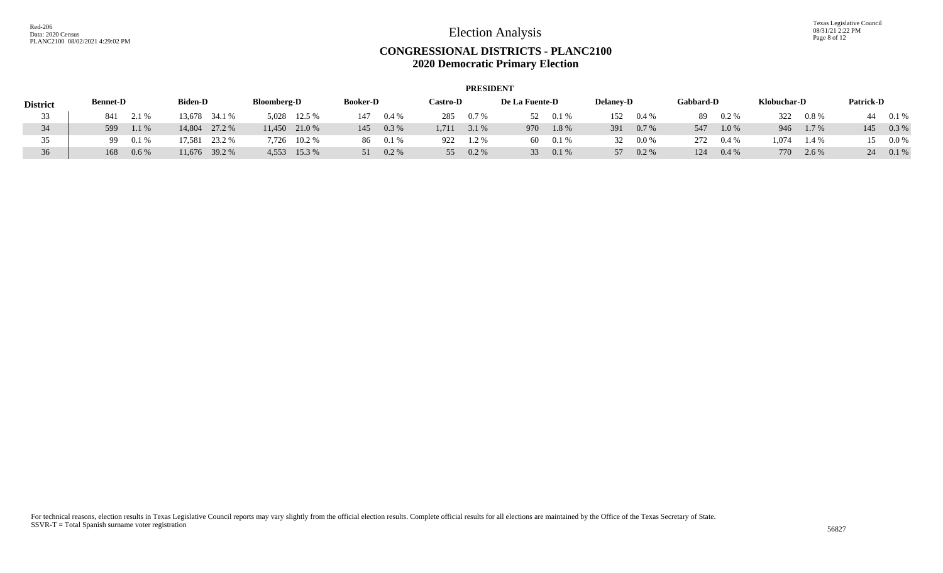|                 |                 |         |                |               |                    |                 |                 |          |                 | <b>PRESIDENT</b> |                |      |                  |         |                  |         |             |         |                  |         |
|-----------------|-----------------|---------|----------------|---------------|--------------------|-----------------|-----------------|----------|-----------------|------------------|----------------|------|------------------|---------|------------------|---------|-------------|---------|------------------|---------|
| <b>District</b> | <b>Bennet-D</b> |         | <b>Biden-D</b> |               | <b>Bloomberg-D</b> |                 | <b>Booker-D</b> |          | <b>Castro-D</b> |                  | De La Fuente-D |      | <b>Delaney-D</b> |         | <b>Gabbard-D</b> |         | Klobuchar-D |         | <b>Patrick-D</b> |         |
| 33              | 841             | 2.1 %   |                | 13,678 34.1 % |                    | 5,028 12.5 %    | 147             | $0.4\%$  | 285             | $0.7\%$          | 52             | 0.1% | 152              | $0.4\%$ | -89              | $0.2\%$ | 322         | $0.8\%$ |                  | 0.1%    |
| 34              | 599             | $1.1\%$ | 14.804         | 27.2 %        |                    | $11,450$ 21.0 % | 145             | $0.3\%$  | 1.711           | 3.1 %            | 970            | 1.8% | 391              | $0.7\%$ | 547              | 1.0%    | 946         | 1.7 %   | 145              | $0.3\%$ |
| 35              | 99              | 0.1%    | '7.581         | 23.2 %        |                    | 7,726 10.2 %    |                 | 86 0.1 % | 922             | 1.2%             | 60             | 0.1% | 32               | $0.0\%$ | 272              | $0.4\%$ | .074        | 1.4 %   |                  | $0.0\%$ |
| 36              | 168             | $0.6\%$ |                | 11,676 39.2 % |                    | 4,553 15.3 %    | 51              | $0.2\%$  | 55              | $0.2\%$          | 33             | 0.1% | 57               | $0.2\%$ | 124              | $0.4\%$ | 770         | 2.6 %   |                  | $0.1\%$ |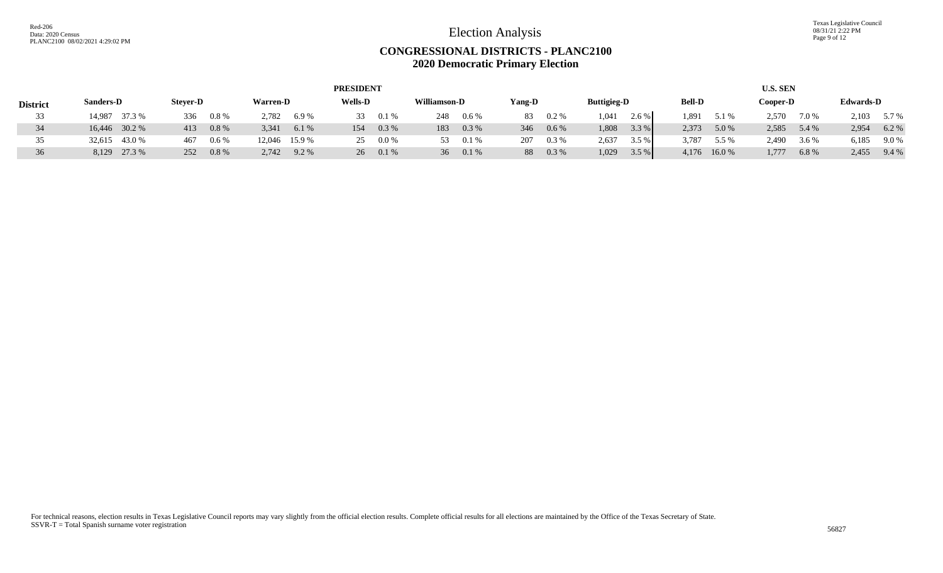Texas Legislative Council 08/31/21 2:22 PM Page 9 of 12

|                 |                  |                 |                  | <b>PRESIDENT</b> |                         |                |                    |                | <b>U.S. SEN</b> |                  |
|-----------------|------------------|-----------------|------------------|------------------|-------------------------|----------------|--------------------|----------------|-----------------|------------------|
| <b>District</b> | <b>Sanders-D</b> | <b>Stever-D</b> | <b>Warren-D</b>  | <b>Wells-D</b>   | Williamson-D            | Yang-D         | <b>Buttigieg-D</b> | <b>Bell-D</b>  | Cooper-D        | <b>Edwards-D</b> |
| 33              | 14,987 37.3 %    | $0.8\%$<br>336  | 2,782<br>6.9 %   | 0.1%<br>33       | 248<br>0.6%             | $0.2\%$<br>83  | 1,041<br>2.6 %     | .891<br>5.1 %  | 2,570<br>7.0 %  | 2,103<br>5.7 %   |
| 34              | 16,446 30.2 %    | $0.8\%$<br>413  | 6.1%<br>3,341    | $0.3\%$<br>154   | 0.3 %<br>183            | 346<br>$0.6\%$ | 3.3%<br>1,808      | 2,373<br>5.0 % | 2,585<br>5.4 %  | 6.2%<br>2,954    |
| 35              | 32,615 43.0 %    | $0.6\%$<br>467  | 12,046 15.9 %    | $0.0\%$<br>25.   | 0.1%<br>53.             | 0.3 %<br>207   | 2,637<br>3.5 %     | 3,787<br>5.5 % | 2,490<br>3.6 %  | 6,185<br>9.0 %   |
| 36              | 8,129 27.3 %     | $0.8\%$<br>252  | 2,742<br>$9.2\%$ | 26 0.1 %         | 36 <sup>2</sup><br>0.1% | $0.3\%$<br>88  | 1,029<br>3.5%      | 4,176<br>16.0% | 1,777<br>6.8 %  | 2,455<br>9.4%    |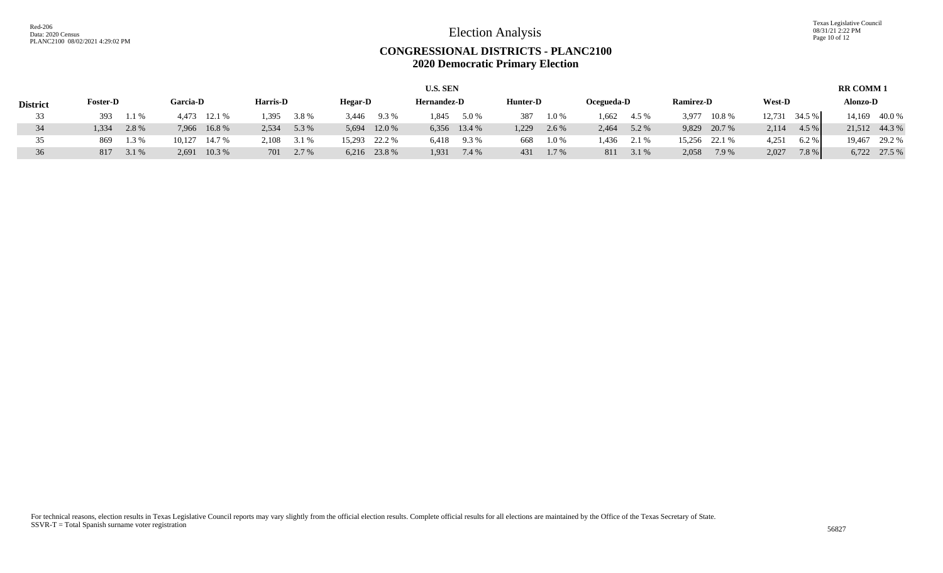Texas Legislative Council 08/31/21 2:22 PM Page 10 of 12

|                 |                 |       |                 |        |          |       |         |               | <b>U.S. SEN</b>    |              |          |       |            |       |                  |               |               |        | <b>RR COMM1</b> |               |
|-----------------|-----------------|-------|-----------------|--------|----------|-------|---------|---------------|--------------------|--------------|----------|-------|------------|-------|------------------|---------------|---------------|--------|-----------------|---------------|
| <b>District</b> | <b>Foster-D</b> |       | <b>Garcia-D</b> |        | Harris-D |       | Hegar-D |               | <b>Hernandez-D</b> |              | Hunter-D |       | Ocegueda-D |       | <b>Ramirez-D</b> |               | <b>West-D</b> |        | Alonzo-D        |               |
| 33              | 393             | 1.1 % | 4.473           | 12.1 % | 1.395    | 3.8%  | 3,446   | 9.3 %         | 1,845              | 5.0 %        | 387      | 1.0%  | 1,662      | 4.5 % | 3,977            | 10.8%         | 12,731        | 34.5 % | 14.169          | 40.0 %        |
| 34              | .334            | 2.8%  | 7.966           | 16.8%  | 2.534    | 5.3 % | 5,694   | 12.0 %        |                    | 6,356 13.4 % | 1,229    | 2.6 % | 2,464      | 5.2 % |                  | 9,829 20.7 %  | 2,114         | 4.5 %  |                 | 21,512 44.3 % |
| 35              | 869             | 1.3 % | 10,127          | 14.7 % | 2.108    | 3.1 % |         | 15,293 22.2 % | 6,418              | 9.3%         | 668      | 1.0%  | l.436      | 2.1 % |                  | 15,256 22.1 % | 4,251         | 6.2%   | 19.467          | 29.2 %        |
| 36              | 817             | 3.1 % | 2.691           | 10.3 % | 701      | 2.7 % |         | 6,216 23.8 %  | 1,931              | 7.4 %        | 431      | 1.7 % | 811        | 3.1 % | 2,058            | 7.9%          | 2,027         | 7.8%   | 6,722           | 27.5 %        |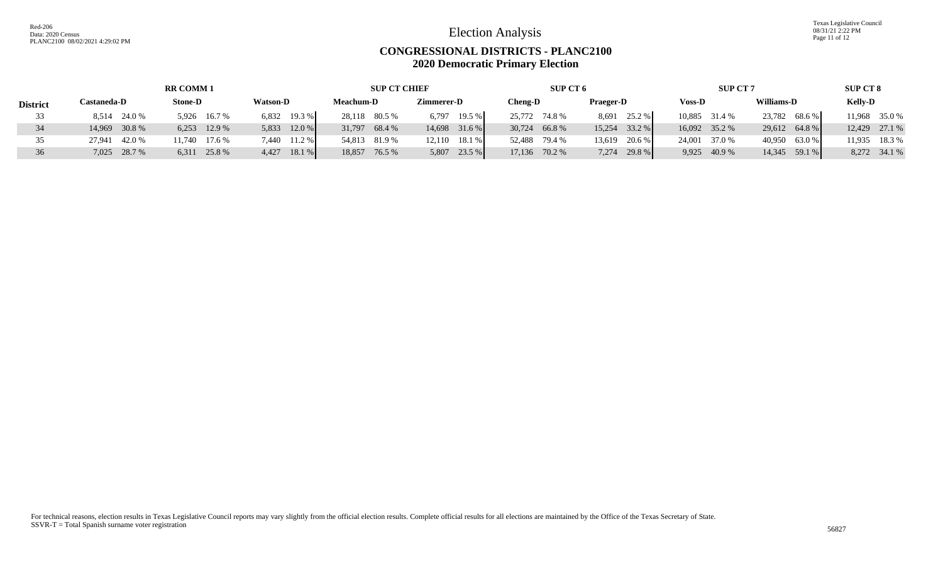Texas Legislative Council 08/31/21 2:22 PM Page 11 of 12

#### **CONGRESSIONAL DISTRICTS - PLANC2100 2020 Democratic Primary Election**

|                 |                  | <b>RR COMM 1</b> |                 | <b>SUP CT CHIEF</b> |                   | SUP CT 6      |                 | <b>SUP CT 7</b> |               | <b>SUP CT 8</b> |
|-----------------|------------------|------------------|-----------------|---------------------|-------------------|---------------|-----------------|-----------------|---------------|-----------------|
| <b>District</b> | Castaneda-D      | <b>Stone-D</b>   | <b>Watson-D</b> | <b>Meachum-D</b>    | Zimmerer-D        | Cheng-D       | Praeger-D       | <b>Voss-D</b>   | Williams-D    | <b>Kelly-D</b>  |
|                 | 8,514 24.0 %     | 5,926 16.7 %     | $6,832$ 19.3 %  | 28,118 80.5 %       | 19.5 %<br>6,797   | 25,772 74.8 % | 8,691 25.2 %    | 10,885 31.4 %   | 23,782 68.6 % | 11,968 35.0 %   |
|                 | 14,969 30.8 %    | $6,253$ 12.9 %   | 5,833 12.0 %    | 31,797 68.4 %       | $14,698$ 31.6 %   | 30,724 66.8 % | $15,254$ 33.2 % | 16,092 35.2 %   | 29,612 64.8 % | 12,429 27.1 %   |
|                 | 42.0 %<br>27.941 | 11,740 17.6 %    | 7,440 11.2 %    | 54,813 81.9 %       | $12,110$ 18.1 %   | 52,488 79.4 % | 13,619 20.6 %   | 24,001 37.0 %   | 40,950 63.0 % | 11,935 18.3 %   |
| 36              | 7,025 28.7 %     | 6,311 25.8 %     | 18.1 %<br>4,427 | 18,857 76.5 %       | $-23.5%$<br>5,807 | 17,136 70.2 % | 7,274 29.8 %    | 9,925 40.9 %    | 14,345 59.1 % | 8,272 34.1 %    |